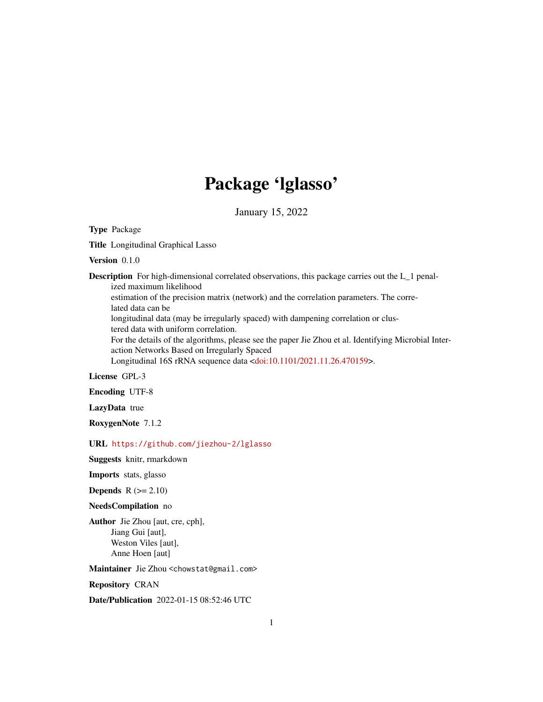# Package 'lglasso'

January 15, 2022

Type Package

Title Longitudinal Graphical Lasso

Version 0.1.0

Description For high-dimensional correlated observations, this package carries out the L\_1 penalized maximum likelihood estimation of the precision matrix (network) and the correlation parameters. The correlated data can be longitudinal data (may be irregularly spaced) with dampening correlation or clus-

tered data with uniform correlation.

For the details of the algorithms, please see the paper Jie Zhou et al. Identifying Microbial Interaction Networks Based on Irregularly Spaced

Longitudinal 16S rRNA sequence data [<doi:10.1101/2021.11.26.470159>](https://doi.org/10.1101/2021.11.26.470159).

License GPL-3

Encoding UTF-8

LazyData true

RoxygenNote 7.1.2

URL <https://github.com/jiezhou-2/lglasso>

Suggests knitr, rmarkdown

Imports stats, glasso

Depends  $R (= 2.10)$ 

#### NeedsCompilation no

Author Jie Zhou [aut, cre, cph], Jiang Gui [aut], Weston Viles [aut], Anne Hoen [aut]

Maintainer Jie Zhou <chowstat@gmail.com>

Repository CRAN

Date/Publication 2022-01-15 08:52:46 UTC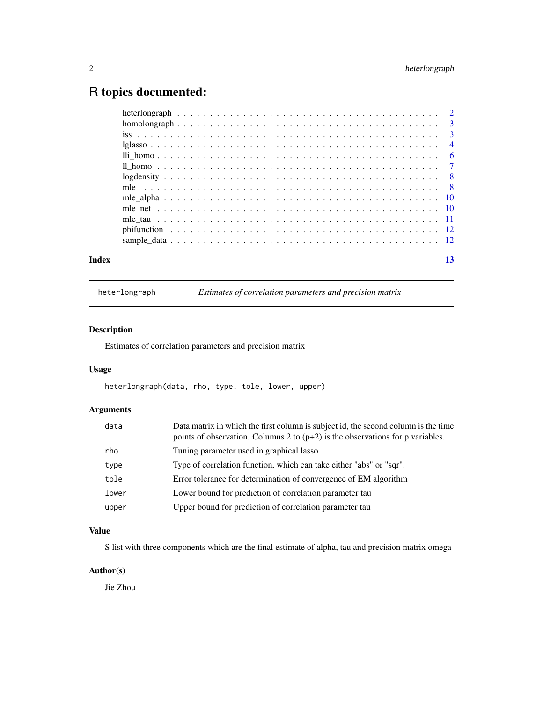## <span id="page-1-0"></span>R topics documented:

| Index |  |  |  |  |  |  |  |  |  |  |  |  |  |  |  |  |  |  |
|-------|--|--|--|--|--|--|--|--|--|--|--|--|--|--|--|--|--|--|

heterlongraph *Estimates of correlation parameters and precision matrix*

#### Description

Estimates of correlation parameters and precision matrix

#### Usage

heterlongraph(data, rho, type, tole, lower, upper)

#### Arguments

| data  | Data matrix in which the first column is subject id, the second column is the time<br>points of observation. Columns 2 to $(p+2)$ is the observations for p variables. |
|-------|------------------------------------------------------------------------------------------------------------------------------------------------------------------------|
| rho   | Tuning parameter used in graphical lasso                                                                                                                               |
| type  | Type of correlation function, which can take either "abs" or "sqr".                                                                                                    |
| tole  | Error tolerance for determination of convergence of EM algorithm                                                                                                       |
| lower | Lower bound for prediction of correlation parameter tau                                                                                                                |
| upper | Upper bound for prediction of correlation parameter tau                                                                                                                |

#### Value

S list with three components which are the final estimate of alpha, tau and precision matrix omega

#### Author(s)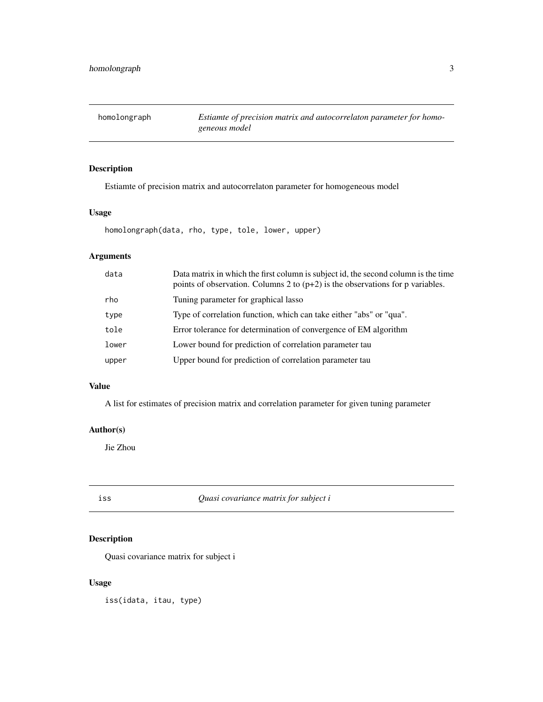<span id="page-2-0"></span>homolongraph *Estiamte of precision matrix and autocorrelaton parameter for homogeneous model*

#### Description

Estiamte of precision matrix and autocorrelaton parameter for homogeneous model

#### Usage

homolongraph(data, rho, type, tole, lower, upper)

#### Arguments

| data  | Data matrix in which the first column is subject id, the second column is the time<br>points of observation. Columns 2 to $(p+2)$ is the observations for p variables. |
|-------|------------------------------------------------------------------------------------------------------------------------------------------------------------------------|
| rho   | Tuning parameter for graphical lasso                                                                                                                                   |
| type  | Type of correlation function, which can take either "abs" or "qua".                                                                                                    |
| tole  | Error tolerance for determination of convergence of EM algorithm                                                                                                       |
| lower | Lower bound for prediction of correlation parameter tau                                                                                                                |
| upper | Upper bound for prediction of correlation parameter tau                                                                                                                |

#### Value

A list for estimates of precision matrix and correlation parameter for given tuning parameter

#### Author(s)

Jie Zhou

iss *Quasi covariance matrix for subject i*

#### Description

Quasi covariance matrix for subject i

#### Usage

iss(idata, itau, type)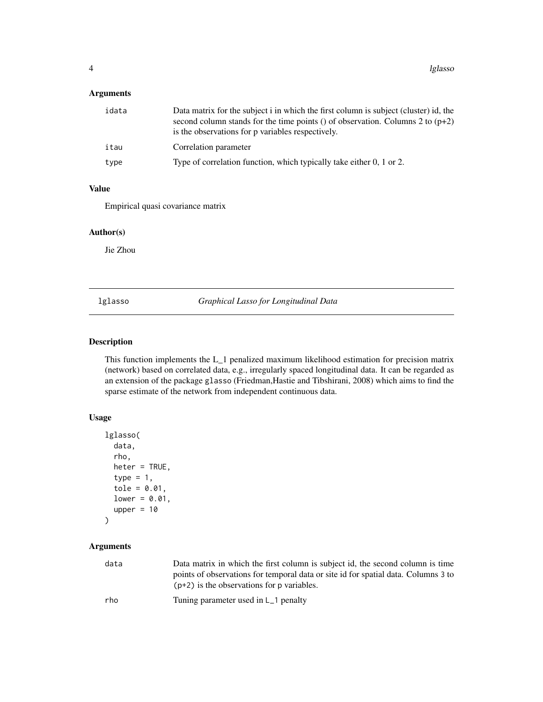#### <span id="page-3-0"></span>Arguments

| idata | Data matrix for the subject i in which the first column is subject (cluster) id, the<br>second column stands for the time points () of observation. Columns 2 to $(p+2)$<br>is the observations for p variables respectively. |
|-------|-------------------------------------------------------------------------------------------------------------------------------------------------------------------------------------------------------------------------------|
| itau  | Correlation parameter                                                                                                                                                                                                         |
| type  | Type of correlation function, which typically take either 0, 1 or 2.                                                                                                                                                          |

#### Value

Empirical quasi covariance matrix

#### Author(s)

Jie Zhou

lglasso *Graphical Lasso for Longitudinal Data*

#### Description

This function implements the L\_1 penalized maximum likelihood estimation for precision matrix (network) based on correlated data, e.g., irregularly spaced longitudinal data. It can be regarded as an extension of the package glasso (Friedman,Hastie and Tibshirani, 2008) which aims to find the sparse estimate of the network from independent continuous data.

#### Usage

```
lglasso(
  data,
  rho,
  heter = TRUE,
  type = 1,
  tole = 0.01,
  lower = 0.01,upper = 10)
```
#### Arguments

| data | Data matrix in which the first column is subject id, the second column is time<br>points of observations for temporal data or site id for spatial data. Columns 3 to<br>$(p+2)$ is the observations for p variables. |
|------|----------------------------------------------------------------------------------------------------------------------------------------------------------------------------------------------------------------------|
| rho  | Tuning parameter used in $L_1$ penalty                                                                                                                                                                               |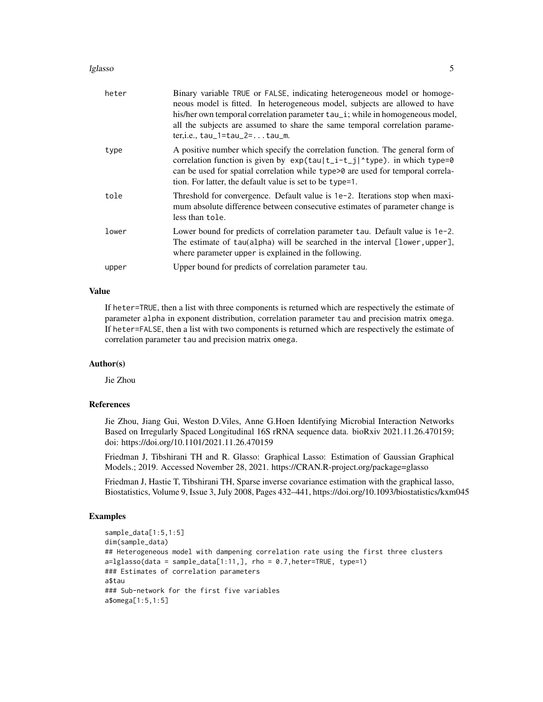#### lglasso 55 and 55 and 55 and 55 and 55 and 55 and 55 and 55 and 55 and 55 and 55 and 55 and 55 and 55 and 55 and 55 and 55 and 55 and 55 and 55 and 55 and 55 and 55 and 55 and 55 and 55 and 55 and 55 and 55 and 55 and 55 a

| heter | Binary variable TRUE or FALSE, indicating heterogeneous model or homoge-<br>neous model is fitted. In heterogeneous model, subjects are allowed to have<br>his/her own temporal correlation parameter tau_i; while in homogeneous model,<br>all the subjects are assumed to share the same temporal correlation parame-<br>$ter, i.e., tau_1 = tau_2 = tau_{au_m}$ |
|-------|--------------------------------------------------------------------------------------------------------------------------------------------------------------------------------------------------------------------------------------------------------------------------------------------------------------------------------------------------------------------|
| type  | A positive number which specify the correlation function. The general form of<br>correlation function is given by $exp(tau t_i-t_j ^t)$ ; in which type=0<br>can be used for spatial correlation while type>0 are used for temporal correla-<br>tion. For latter, the default value is set to be type=1.                                                           |
| tole  | Threshold for convergence. Default value is 1e-2. Iterations stop when maxi-<br>mum absolute difference between consecutive estimates of parameter change is<br>less than tole.                                                                                                                                                                                    |
| lower | Lower bound for predicts of correlation parameter tau. Default value is 1e-2.<br>The estimate of tau(alpha) will be searched in the interval [lower, upper],<br>where parameter upper is explained in the following.                                                                                                                                               |
| upper | Upper bound for predicts of correlation parameter tau.                                                                                                                                                                                                                                                                                                             |

#### Value

If heter=TRUE, then a list with three components is returned which are respectively the estimate of parameter alpha in exponent distribution, correlation parameter tau and precision matrix omega. If heter=FALSE, then a list with two components is returned which are respectively the estimate of correlation parameter tau and precision matrix omega.

#### Author(s)

Jie Zhou

#### References

Jie Zhou, Jiang Gui, Weston D.Viles, Anne G.Hoen Identifying Microbial Interaction Networks Based on Irregularly Spaced Longitudinal 16S rRNA sequence data. bioRxiv 2021.11.26.470159; doi: https://doi.org/10.1101/2021.11.26.470159

Friedman J, Tibshirani TH and R. Glasso: Graphical Lasso: Estimation of Gaussian Graphical Models.; 2019. Accessed November 28, 2021. https://CRAN.R-project.org/package=glasso

Friedman J, Hastie T, Tibshirani TH, Sparse inverse covariance estimation with the graphical lasso, Biostatistics, Volume 9, Issue 3, July 2008, Pages 432–441, https://doi.org/10.1093/biostatistics/kxm045

#### Examples

```
sample_data[1:5,1:5]
dim(sample_data)
## Heterogeneous model with dampening correlation rate using the first three clusters
a = lglasso(data = sample_data[1:11,], rho = 0.7, heter=TRUE, type=1)### Estimates of correlation parameters
a$tau
### Sub-network for the first five variables
a$omega[1:5,1:5]
```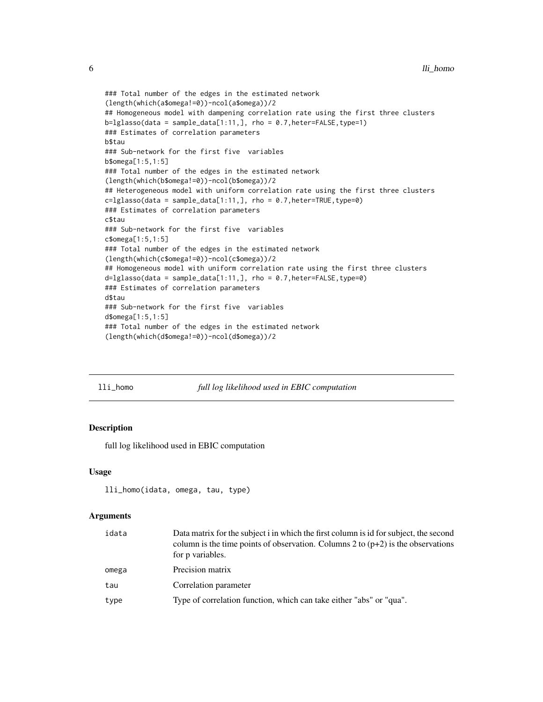```
### Total number of the edges in the estimated network
(length(which(a$omega!=0))-ncol(a$omega))/2
## Homogeneous model with dampening correlation rate using the first three clusters
b = lglasso(data = sample_data[1:11,], rho = 0.7, heter=False, type=1)### Estimates of correlation parameters
b$tau
### Sub-network for the first five variables
b$omega[1:5,1:5]
### Total number of the edges in the estimated network
(length(which(b$omega!=0))-ncol(b$omega))/2
## Heterogeneous model with uniform correlation rate using the first three clusters
c=lglasso(data = sample_data[1:11,], rho = 0.7,heter=TRUE,type=0)
### Estimates of correlation parameters
c$tau
### Sub-network for the first five variables
c$omega[1:5,1:5]
### Total number of the edges in the estimated network
(length(which(c$omega!=0))-ncol(c$omega))/2
## Homogeneous model with uniform correlation rate using the first three clusters
d=lglasso(data = sample_data[1:11,], rho = 0.7,heter=FALSE,type=0)
### Estimates of correlation parameters
d$tau
### Sub-network for the first five variables
d$omega[1:5,1:5]
### Total number of the edges in the estimated network
(length(which(d$omega!=0))-ncol(d$omega))/2
```

|  | nomo |
|--|------|
|  |      |
|  |      |

#### full log likelihood used in EBIC computation

#### Description

full log likelihood used in EBIC computation

#### Usage

```
lli_homo(idata, omega, tau, type)
```
#### **Arguments**

| idata | Data matrix for the subject i in which the first column is id for subject, the second<br>column is the time points of observation. Columns 2 to $(p+2)$ is the observations<br>for p variables. |
|-------|-------------------------------------------------------------------------------------------------------------------------------------------------------------------------------------------------|
| omega | Precision matrix                                                                                                                                                                                |
| tau   | Correlation parameter                                                                                                                                                                           |
| type  | Type of correlation function, which can take either "abs" or "qua".                                                                                                                             |

<span id="page-5-0"></span>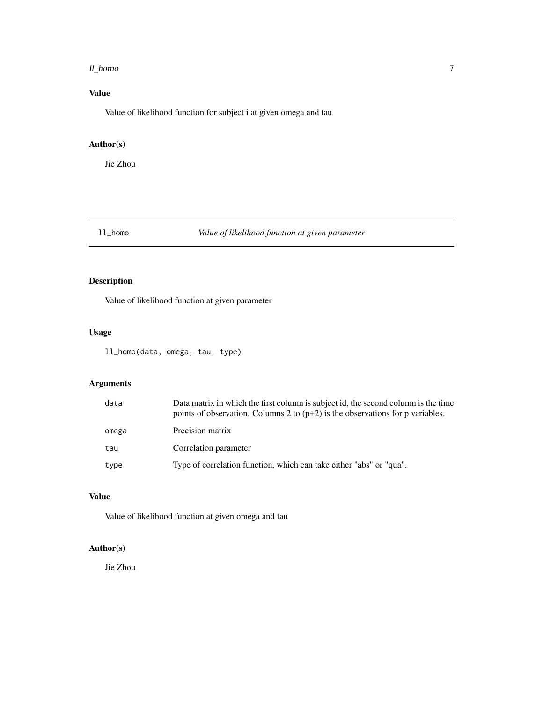#### <span id="page-6-0"></span>ll\_homo 7

#### Value

Value of likelihood function for subject i at given omega and tau

#### Author(s)

Jie Zhou

#### ll\_homo *Value of likelihood function at given parameter*

#### Description

Value of likelihood function at given parameter

#### Usage

ll\_homo(data, omega, tau, type)

#### Arguments

| data  | Data matrix in which the first column is subject id, the second column is the time<br>points of observation. Columns 2 to $(p+2)$ is the observations for p variables. |
|-------|------------------------------------------------------------------------------------------------------------------------------------------------------------------------|
| omega | Precision matrix                                                                                                                                                       |
| tau   | Correlation parameter                                                                                                                                                  |
| type  | Type of correlation function, which can take either "abs" or "qua".                                                                                                    |

#### Value

Value of likelihood function at given omega and tau

#### Author(s)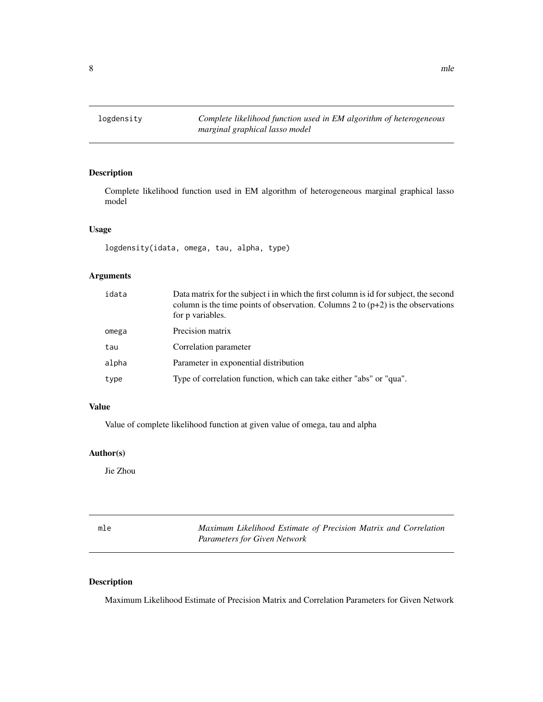#### <span id="page-7-0"></span>Description

Complete likelihood function used in EM algorithm of heterogeneous marginal graphical lasso model

#### Usage

logdensity(idata, omega, tau, alpha, type)

#### Arguments

| idata | Data matrix for the subject i in which the first column is id for subject, the second<br>column is the time points of observation. Columns 2 to $(p+2)$ is the observations<br>for p variables. |
|-------|-------------------------------------------------------------------------------------------------------------------------------------------------------------------------------------------------|
| omega | Precision matrix                                                                                                                                                                                |
| tau   | Correlation parameter                                                                                                                                                                           |
| alpha | Parameter in exponential distribution                                                                                                                                                           |
| type  | Type of correlation function, which can take either "abs" or "qua".                                                                                                                             |

#### Value

Value of complete likelihood function at given value of omega, tau and alpha

#### Author(s)

Jie Zhou

| mle | Maximum Likelihood Estimate of Precision Matrix and Correlation |
|-----|-----------------------------------------------------------------|
|     | <b>Parameters for Given Network</b>                             |

#### Description

Maximum Likelihood Estimate of Precision Matrix and Correlation Parameters for Given Network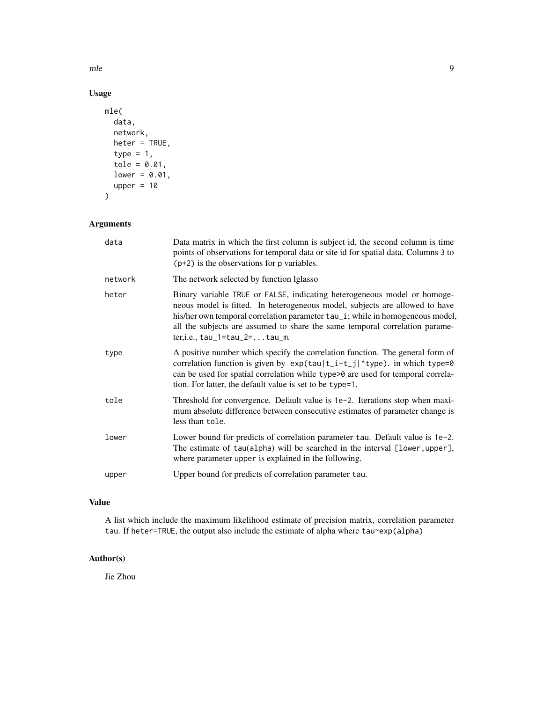mle to the set of the set of the set of the set of the set of the set of the set of the set of the set of the set of the set of the set of the set of the set of the set of the set of the set of the set of the set of the se

#### Usage

```
mle(
  data,
  network,
  heter = TRUE,
  type = 1,
  tole = 0.01,
  lower = 0.01,
  upper = 10\mathcal{L}
```
#### Arguments

| data    | Data matrix in which the first column is subject id, the second column is time<br>points of observations for temporal data or site id for spatial data. Columns 3 to<br>$(p+2)$ is the observations for p variables.                                                                                                                                            |
|---------|-----------------------------------------------------------------------------------------------------------------------------------------------------------------------------------------------------------------------------------------------------------------------------------------------------------------------------------------------------------------|
| network | The network selected by function Iglasso                                                                                                                                                                                                                                                                                                                        |
| heter   | Binary variable TRUE or FALSE, indicating heterogeneous model or homoge-<br>neous model is fitted. In heterogeneous model, subjects are allowed to have<br>his/her own temporal correlation parameter tau_i; while in homogeneous model,<br>all the subjects are assumed to share the same temporal correlation parame-<br>$ter, i.e., tau_1 = tau_2 =  tau_m.$ |
| type    | A positive number which specify the correlation function. The general form of<br>correlation function is given by exp(tau t_i-t_j ^type). in which type=0<br>can be used for spatial correlation while type>0 are used for temporal correla-<br>tion. For latter, the default value is set to be type=1.                                                        |
| tole    | Threshold for convergence. Default value is 1e-2. Iterations stop when maxi-<br>mum absolute difference between consecutive estimates of parameter change is<br>less than tole.                                                                                                                                                                                 |
| lower   | Lower bound for predicts of correlation parameter tau. Default value is 1e-2.<br>The estimate of tau(alpha) will be searched in the interval [lower, upper],<br>where parameter upper is explained in the following.                                                                                                                                            |
| upper   | Upper bound for predicts of correlation parameter tau.                                                                                                                                                                                                                                                                                                          |

#### Value

A list which include the maximum likelihood estimate of precision matrix, correlation parameter tau. If heter=TRUE, the output also include the estimate of alpha where tau~exp(alpha)

### Author(s)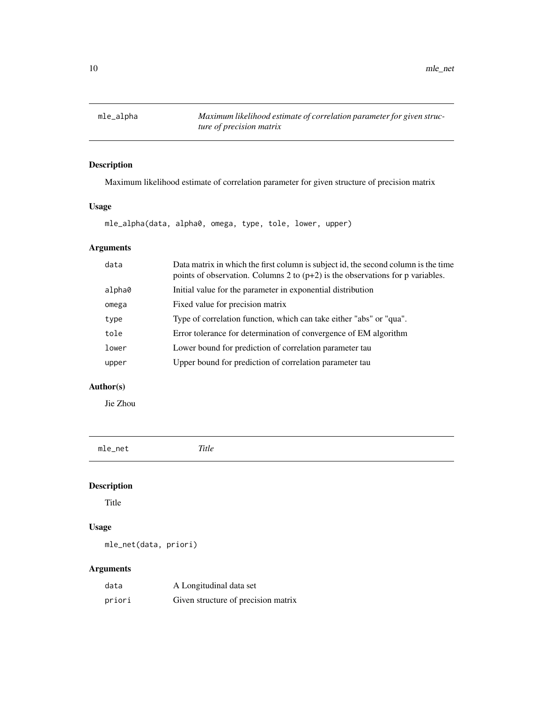<span id="page-9-0"></span>mle\_alpha *Maximum likelihood estimate of correlation parameter for given structure of precision matrix*

#### Description

Maximum likelihood estimate of correlation parameter for given structure of precision matrix

#### Usage

mle\_alpha(data, alpha0, omega, type, tole, lower, upper)

#### Arguments

| data   | Data matrix in which the first column is subject id, the second column is the time<br>points of observation. Columns 2 to $(p+2)$ is the observations for p variables. |
|--------|------------------------------------------------------------------------------------------------------------------------------------------------------------------------|
| alpha0 | Initial value for the parameter in exponential distribution                                                                                                            |
| omega  | Fixed value for precision matrix                                                                                                                                       |
| type   | Type of correlation function, which can take either "abs" or "qua".                                                                                                    |
| tole   | Error tolerance for determination of convergence of EM algorithm                                                                                                       |
| lower  | Lower bound for prediction of correlation parameter tau                                                                                                                |
| upper  | Upper bound for prediction of correlation parameter tau                                                                                                                |
|        |                                                                                                                                                                        |

#### Author(s)

Jie Zhou

mle\_net *Title*

#### Description

Title

#### Usage

mle\_net(data, priori)

#### Arguments

| data   | A Longitudinal data set             |
|--------|-------------------------------------|
| priori | Given structure of precision matrix |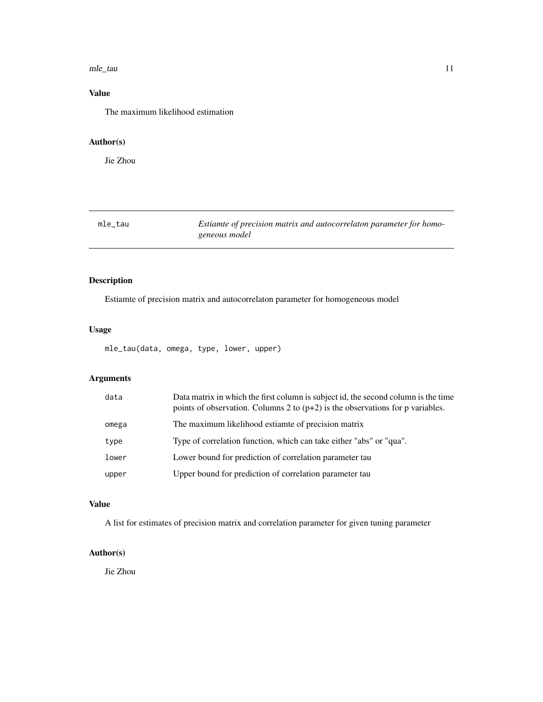#### <span id="page-10-0"></span>mle\_tau 11

#### Value

The maximum likelihood estimation

#### Author(s)

Jie Zhou

| mle_tau | Estiamte of precision matrix and autocorrelaton parameter for homo- |
|---------|---------------------------------------------------------------------|
|         | geneous model                                                       |

#### Description

Estiamte of precision matrix and autocorrelaton parameter for homogeneous model

#### Usage

mle\_tau(data, omega, type, lower, upper)

#### Arguments

| data  | Data matrix in which the first column is subject id, the second column is the time<br>points of observation. Columns 2 to $(p+2)$ is the observations for p variables. |
|-------|------------------------------------------------------------------------------------------------------------------------------------------------------------------------|
| omega | The maximum likelihood estiamte of precision matrix                                                                                                                    |
| type  | Type of correlation function, which can take either "abs" or "qua".                                                                                                    |
| lower | Lower bound for prediction of correlation parameter tau                                                                                                                |
| upper | Upper bound for prediction of correlation parameter tau                                                                                                                |

#### Value

A list for estimates of precision matrix and correlation parameter for given tuning parameter

#### Author(s)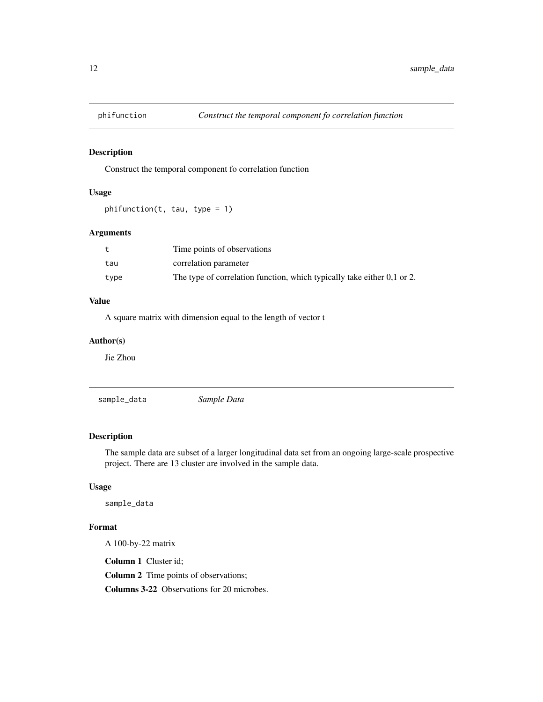<span id="page-11-0"></span>

#### Description

Construct the temporal component fo correlation function

#### Usage

phifunction(t, tau, type = 1)

#### Arguments

|      | Time points of observations                                                  |
|------|------------------------------------------------------------------------------|
| tau  | correlation parameter                                                        |
| type | The type of correlation function, which typically take either $0,1$ or $2$ . |

#### Value

A square matrix with dimension equal to the length of vector t

#### Author(s)

Jie Zhou

sample\_data *Sample Data*

#### Description

The sample data are subset of a larger longitudinal data set from an ongoing large-scale prospective project. There are 13 cluster are involved in the sample data.

#### Usage

sample\_data

#### Format

A 100-by-22 matrix

Column 1 Cluster id;

Column 2 Time points of observations;

Columns 3-22 Observations for 20 microbes.